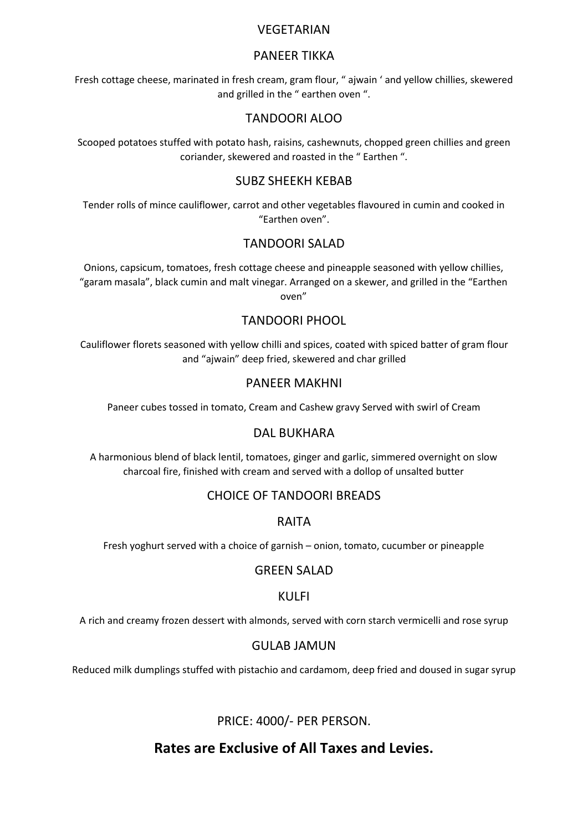#### **VEGETARIAN**

## PANEER TIKKA

Fresh cottage cheese, marinated in fresh cream, gram flour, " ajwain ' and yellow chillies, skewered and grilled in the " earthen oven ".

## TANDOORI ALOO

Scooped potatoes stuffed with potato hash, raisins, cashewnuts, chopped green chillies and green coriander, skewered and roasted in the " Earthen ".

## SUBZ SHEEKH KEBAB

Tender rolls of mince cauliflower, carrot and other vegetables flavoured in cumin and cooked in "Earthen oven".

## TANDOORI SALAD

Onions, capsicum, tomatoes, fresh cottage cheese and pineapple seasoned with yellow chillies, "garam masala", black cumin and malt vinegar. Arranged on a skewer, and grilled in the "Earthen oven"

## TANDOORI PHOOL

Cauliflower florets seasoned with yellow chilli and spices, coated with spiced batter of gram flour and "ajwain" deep fried, skewered and char grilled

#### PANEER MAKHNI

Paneer cubes tossed in tomato, Cream and Cashew gravy Served with swirl of Cream

#### DAL BUKHARA

A harmonious blend of black lentil, tomatoes, ginger and garlic, simmered overnight on slow charcoal fire, finished with cream and served with a dollop of unsalted butter

## CHOICE OF TANDOORI BREADS

#### RAITA

Fresh yoghurt served with a choice of garnish – onion, tomato, cucumber or pineapple

#### GREEN SALAD

#### KULFI

A rich and creamy frozen dessert with almonds, served with corn starch vermicelli and rose syrup

#### GULAB JAMUN

Reduced milk dumplings stuffed with pistachio and cardamom, deep fried and doused in sugar syrup

PRICE: 4000/- PER PERSON.

## **Rates are Exclusive of All Taxes and Levies.**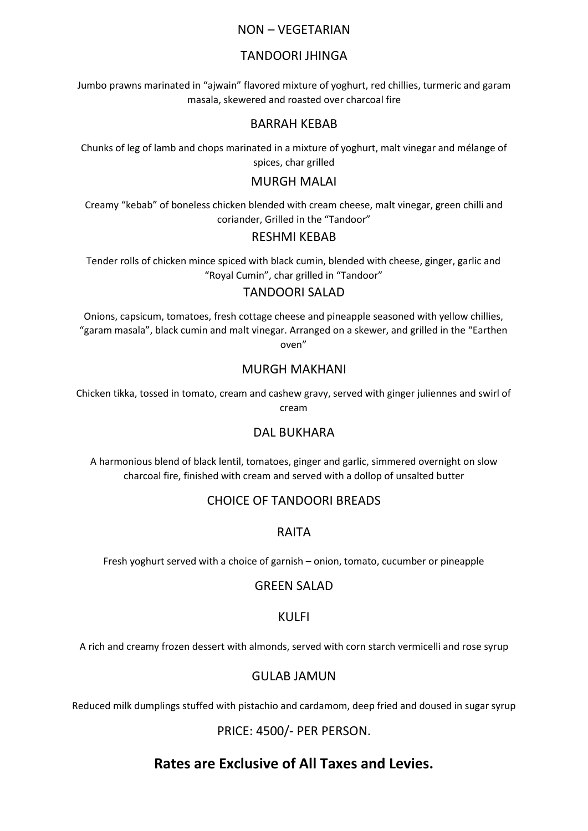### NON – VEGETARIAN

## TANDOORI JHINGA

Jumbo prawns marinated in "ajwain" flavored mixture of yoghurt, red chillies, turmeric and garam masala, skewered and roasted over charcoal fire

#### BARRAH KEBAB

Chunks of leg of lamb and chops marinated in a mixture of yoghurt, malt vinegar and mélange of spices, char grilled

## MURGH MALAI

Creamy "kebab" of boneless chicken blended with cream cheese, malt vinegar, green chilli and coriander, Grilled in the "Tandoor"

#### RESHMI KEBAB

Tender rolls of chicken mince spiced with black cumin, blended with cheese, ginger, garlic and "Royal Cumin", char grilled in "Tandoor"

#### TANDOORI SALAD

Onions, capsicum, tomatoes, fresh cottage cheese and pineapple seasoned with yellow chillies, "garam masala", black cumin and malt vinegar. Arranged on a skewer, and grilled in the "Earthen oven"

## MURGH MAKHANI

Chicken tikka, tossed in tomato, cream and cashew gravy, served with ginger juliennes and swirl of cream

#### DAL BUKHARA

A harmonious blend of black lentil, tomatoes, ginger and garlic, simmered overnight on slow charcoal fire, finished with cream and served with a dollop of unsalted butter

## CHOICE OF TANDOORI BREADS

#### RAITA

Fresh yoghurt served with a choice of garnish – onion, tomato, cucumber or pineapple

#### GREEN SALAD

#### KULFI

A rich and creamy frozen dessert with almonds, served with corn starch vermicelli and rose syrup

#### GULAB JAMUN

Reduced milk dumplings stuffed with pistachio and cardamom, deep fried and doused in sugar syrup

PRICE: 4500/- PER PERSON.

## **Rates are Exclusive of All Taxes and Levies.**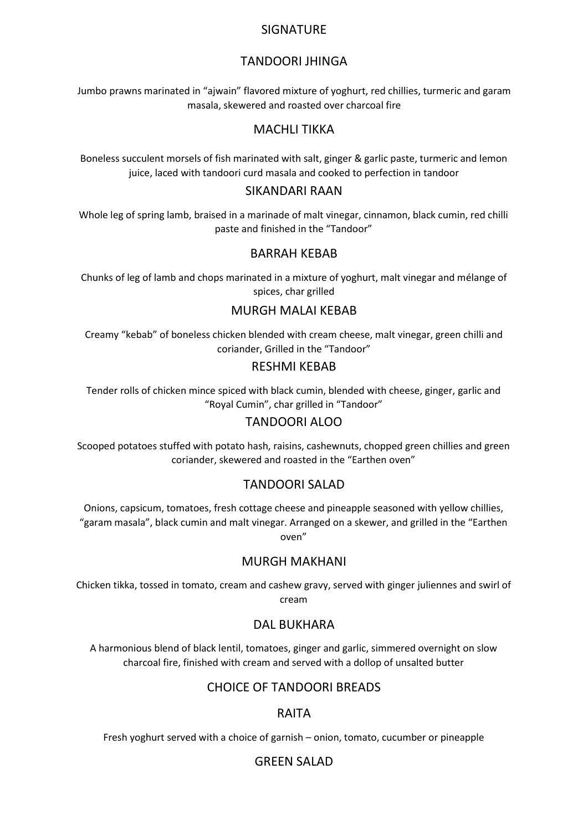#### **SIGNATURE**

## TANDOORI JHINGA

Jumbo prawns marinated in "ajwain" flavored mixture of yoghurt, red chillies, turmeric and garam masala, skewered and roasted over charcoal fire

## MACHLI TIKKA

Boneless succulent morsels of fish marinated with salt, ginger & garlic paste, turmeric and lemon juice, laced with tandoori curd masala and cooked to perfection in tandoor

#### SIKANDARI RAAN

Whole leg of spring lamb, braised in a marinade of malt vinegar, cinnamon, black cumin, red chilli paste and finished in the "Tandoor"

#### BARRAH KEBAB

Chunks of leg of lamb and chops marinated in a mixture of yoghurt, malt vinegar and mélange of spices, char grilled

#### MURGH MALAI KEBAB

Creamy "kebab" of boneless chicken blended with cream cheese, malt vinegar, green chilli and coriander, Grilled in the "Tandoor"

#### RESHMI KEBAB

Tender rolls of chicken mince spiced with black cumin, blended with cheese, ginger, garlic and "Royal Cumin", char grilled in "Tandoor"

#### TANDOORI ALOO

Scooped potatoes stuffed with potato hash, raisins, cashewnuts, chopped green chillies and green coriander, skewered and roasted in the "Earthen oven"

#### TANDOORI SALAD

Onions, capsicum, tomatoes, fresh cottage cheese and pineapple seasoned with yellow chillies, "garam masala", black cumin and malt vinegar. Arranged on a skewer, and grilled in the "Earthen oven"

#### MURGH MAKHANI

Chicken tikka, tossed in tomato, cream and cashew gravy, served with ginger juliennes and swirl of cream

#### DAL BUKHARA

A harmonious blend of black lentil, tomatoes, ginger and garlic, simmered overnight on slow charcoal fire, finished with cream and served with a dollop of unsalted butter

#### CHOICE OF TANDOORI BREADS

#### RAITA

Fresh yoghurt served with a choice of garnish – onion, tomato, cucumber or pineapple

#### GREEN SALAD